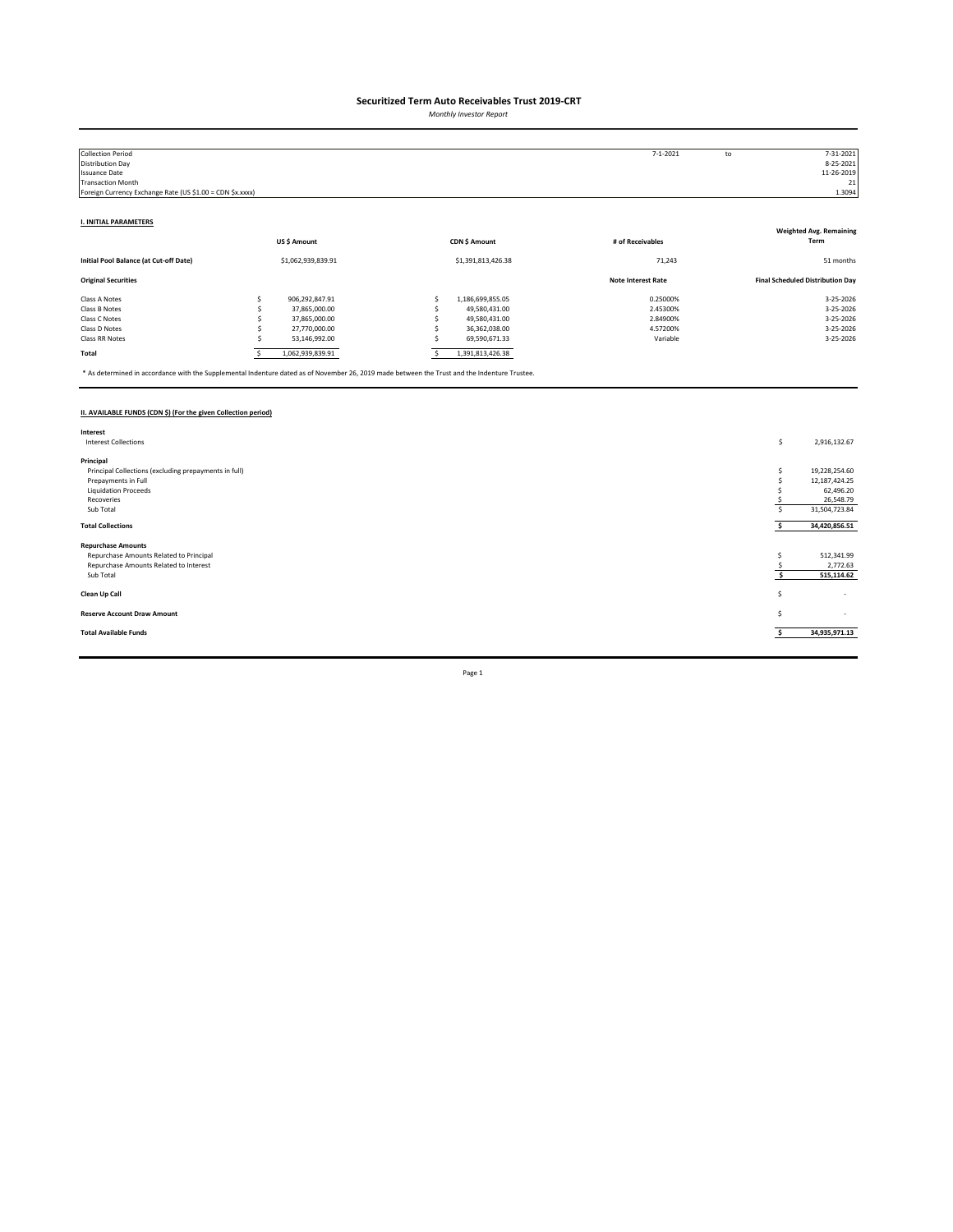*Monthly Investor Report*

| <b>Collection Period</b>                                  |   |                    |                    | $7 - 1 - 2021$            | to | 7-31-2021                               |
|-----------------------------------------------------------|---|--------------------|--------------------|---------------------------|----|-----------------------------------------|
| Distribution Day                                          |   |                    |                    |                           |    | 8-25-2021                               |
| <b>Issuance Date</b>                                      |   |                    |                    |                           |    | 11-26-2019                              |
| <b>Transaction Month</b>                                  |   |                    |                    |                           |    | 21                                      |
| Foreign Currency Exchange Rate (US \$1.00 = CDN \$x.xxxx) |   |                    |                    |                           |    | 1.3094                                  |
|                                                           |   |                    |                    |                           |    |                                         |
| <b>I. INITIAL PARAMETERS</b>                              |   |                    |                    |                           |    |                                         |
|                                                           |   |                    |                    |                           |    | <b>Weighted Avg. Remaining</b>          |
|                                                           |   | US\$ Amount        | CDN \$ Amount      | # of Receivables          |    | Term                                    |
| Initial Pool Balance (at Cut-off Date)                    |   | \$1,062,939,839.91 | \$1,391,813,426.38 | 71,243                    |    | 51 months                               |
| <b>Original Securities</b>                                |   |                    |                    | <b>Note Interest Rate</b> |    | <b>Final Scheduled Distribution Day</b> |
| Class A Notes                                             |   | 906,292,847.91     | 1,186,699,855.05   | 0.25000%                  |    | 3-25-2026                               |
| Class B Notes                                             |   | 37,865,000.00      | 49,580,431.00      | 2.45300%                  |    | 3-25-2026                               |
| Class C Notes                                             |   | 37,865,000.00      | 49,580,431.00      | 2.84900%                  |    | 3-25-2026                               |
| Class D Notes                                             |   | 27,770,000.00      | 36,362,038.00      | 4.57200%                  |    | 3-25-2026                               |
| Class RR Notes                                            |   | 53,146,992.00      | 69,590,671.33      | Variable                  |    | 3-25-2026                               |
| Total                                                     | s | 1,062,939,839.91   | 1,391,813,426.38   |                           |    |                                         |

\* As determined in accordance with the Supplemental Indenture dated as of November 26, 2019 made between the Trust and the Indenture Trustee.

### **II. AVAILABLE FUNDS (CDN \$) (For the given Collection period)**

| Interest                                              |    |                          |
|-------------------------------------------------------|----|--------------------------|
| <b>Interest Collections</b>                           | \$ | 2,916,132.67             |
|                                                       |    |                          |
| Principal                                             |    |                          |
| Principal Collections (excluding prepayments in full) | S  | 19,228,254.60            |
| Prepayments in Full                                   |    | 12,187,424.25            |
| <b>Liquidation Proceeds</b>                           |    | 62,496.20                |
| Recoveries                                            |    | 26,548.79                |
| Sub Total                                             |    | 31,504,723.84            |
|                                                       |    |                          |
| <b>Total Collections</b>                              |    | 34,420,856.51            |
| <b>Repurchase Amounts</b>                             |    |                          |
|                                                       |    |                          |
| Repurchase Amounts Related to Principal               |    | 512,341.99               |
| Repurchase Amounts Related to Interest                |    | 2,772.63                 |
| Sub Total                                             |    | 515,114.62               |
|                                                       |    |                          |
| Clean Up Call                                         | Ś  | $\overline{\phantom{a}}$ |
|                                                       |    |                          |
| <b>Reserve Account Draw Amount</b>                    | S  | $\sim$                   |
| <b>Total Available Funds</b>                          |    | 34,935,971.13            |
|                                                       |    |                          |
|                                                       |    |                          |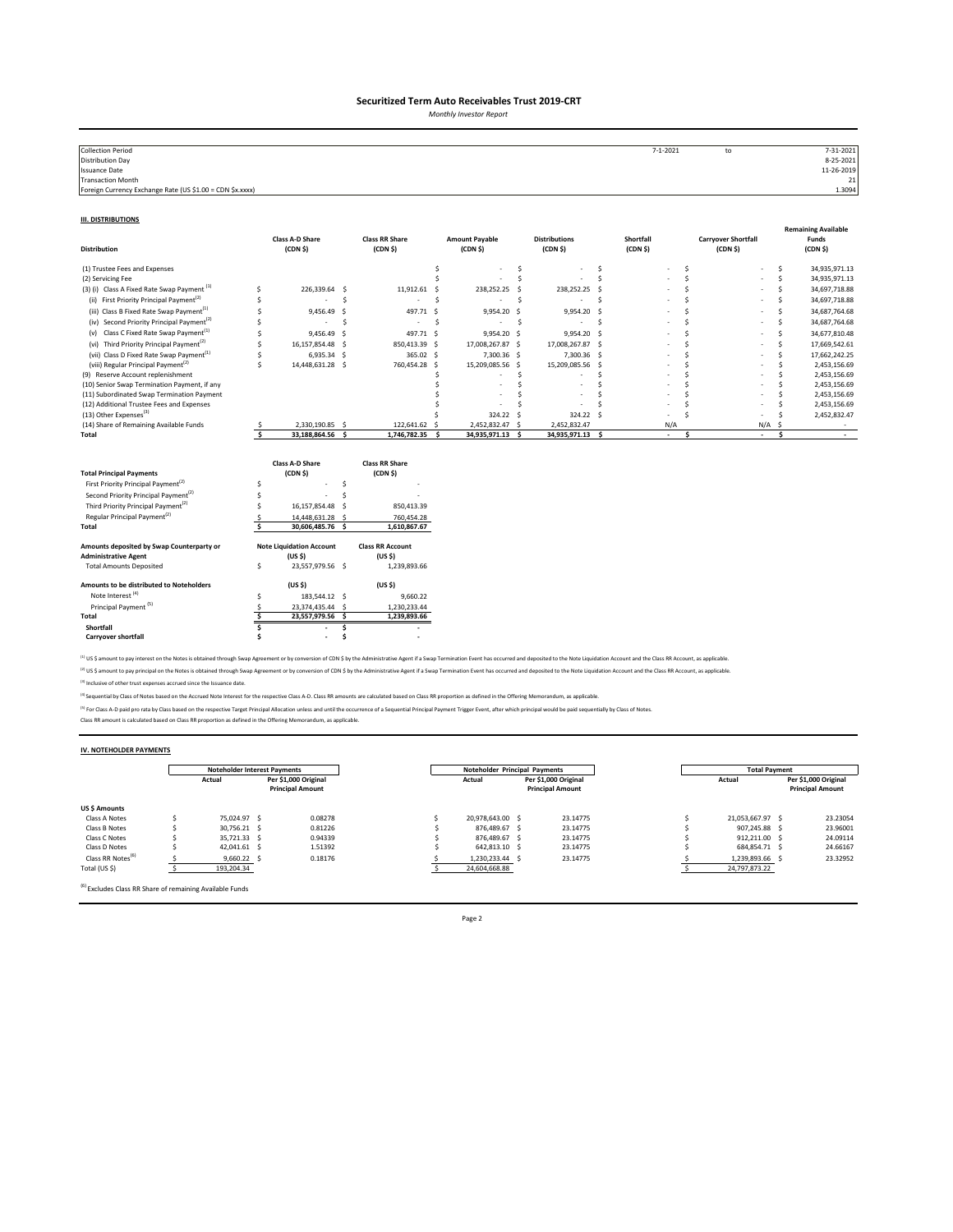*Monthly Investor Report*

| <b>Collection Period</b>                                  | $7 - 1 - 2021$ | to | 7-31-2021       |
|-----------------------------------------------------------|----------------|----|-----------------|
| <b>Distribution Day</b>                                   |                |    | 8-25-2021       |
| <b>Issuance Date</b>                                      |                |    | 11-26-2019      |
| Transaction Month                                         |                |    | 21 <sub>1</sub> |
| Foreign Currency Exchange Rate (US \$1.00 = CDN \$x.xxxx) |                |    | 1.3094          |
|                                                           |                |    |                 |

#### **III. DISTRIBUTIONS**

| <b>Distribution</b>                                                                                                                                                                                                                                                                         |        | <b>Class A-D Share</b><br>(CDN <sub>5</sub> )                                                                                      |              | <b>Class RR Share</b><br>(CDN <sub>5</sub> )                                                                        |     | <b>Amount Payable</b><br>(CDN <sub>5</sub> ) |     | <b>Distributions</b><br>(CDN S) |     | Shortfall<br>(CDN <sub>5</sub> ) |              | <b>Carryover Shortfall</b><br>(CDN <sub>5</sub> ) |     | <b>Remaining Available</b><br>Funds<br>(CDN <sub>5</sub> ) |
|---------------------------------------------------------------------------------------------------------------------------------------------------------------------------------------------------------------------------------------------------------------------------------------------|--------|------------------------------------------------------------------------------------------------------------------------------------|--------------|---------------------------------------------------------------------------------------------------------------------|-----|----------------------------------------------|-----|---------------------------------|-----|----------------------------------|--------------|---------------------------------------------------|-----|------------------------------------------------------------|
| (1) Trustee Fees and Expenses                                                                                                                                                                                                                                                               |        |                                                                                                                                    |              |                                                                                                                     | \$  |                                              | \$  |                                 | Ŝ   |                                  | Ŝ            |                                                   | \$  | 34,935,971.13                                              |
| (2) Servicing Fee                                                                                                                                                                                                                                                                           |        |                                                                                                                                    |              |                                                                                                                     | Ś   |                                              | Ś   |                                 | Ś   |                                  | <sup>s</sup> |                                                   | Ś   | 34,935,971.13                                              |
| (3) (i) Class A Fixed Rate Swap Payment <sup>(1)</sup>                                                                                                                                                                                                                                      | Ś      | 226,339.64                                                                                                                         | - Ś          | 11,912.61                                                                                                           | - 5 | 238,252.25                                   |     | 238,252.25                      | - S |                                  |              |                                                   | Š.  | 34,697,718.88                                              |
| First Priority Principal Payment <sup>(2)</sup><br>(ii)                                                                                                                                                                                                                                     | Ś      |                                                                                                                                    | Ś            |                                                                                                                     | Ś   |                                              | .s  |                                 | Ś   |                                  |              |                                                   | Ś   | 34,697,718.88                                              |
| (iii) Class B Fixed Rate Swap Payment <sup>(1)</sup>                                                                                                                                                                                                                                        |        | 9,456.49                                                                                                                           | .s           | 497.71                                                                                                              | s.  | 9,954.20                                     | - S | 9,954.20 \$                     |     |                                  |              |                                                   | Š.  | 34,687,764.68                                              |
| (iv) Second Priority Principal Payment <sup>(2)</sup>                                                                                                                                                                                                                                       |        |                                                                                                                                    | Ś            | ٠                                                                                                                   | -S  |                                              | S.  |                                 | .s  |                                  |              |                                                   | Š.  | 34,687,764.68                                              |
| (v) Class C Fixed Rate Swap Payment <sup>(1)</sup>                                                                                                                                                                                                                                          | Ś      | 9,456.49                                                                                                                           | -Ś           | 497.71 \$                                                                                                           |     | 9,954.20 \$                                  |     | 9,954.20 \$                     |     |                                  |              |                                                   | Ś   | 34,677,810.48                                              |
| (vi) Third Priority Principal Payment <sup>(2)</sup>                                                                                                                                                                                                                                        | Ś      | 16,157,854.48                                                                                                                      | - S          | 850,413.39 \$                                                                                                       |     | 17,008,267.87 \$                             |     | 17,008,267.87 \$                |     |                                  | Ś            |                                                   | Ś   | 17,669,542.61                                              |
| (vii) Class D Fixed Rate Swap Payment <sup>(1)</sup>                                                                                                                                                                                                                                        | Ś      | 6,935.34 \$                                                                                                                        |              | 365.02 \$                                                                                                           |     | 7,300.36 \$                                  |     | 7,300.36 \$                     |     |                                  |              |                                                   | Š.  | 17,662,242.25                                              |
| (viii) Regular Principal Payment <sup>(2)</sup>                                                                                                                                                                                                                                             | Ś      | 14,448,631.28 \$                                                                                                                   |              | 760,454.28 \$                                                                                                       |     | 15,209,085.56 \$                             |     | 15,209,085.56 \$                |     |                                  |              |                                                   | ×.  | 2,453,156.69                                               |
| (9) Reserve Account replenishment                                                                                                                                                                                                                                                           |        |                                                                                                                                    |              |                                                                                                                     |     |                                              | Ś   |                                 |     |                                  |              |                                                   |     | 2,453,156.69                                               |
| (10) Senior Swap Termination Payment, if any                                                                                                                                                                                                                                                |        |                                                                                                                                    |              |                                                                                                                     |     |                                              | Ś   |                                 |     |                                  |              |                                                   |     | 2,453,156.69                                               |
| (11) Subordinated Swap Termination Payment<br>(12) Additional Trustee Fees and Expenses                                                                                                                                                                                                     |        |                                                                                                                                    |              |                                                                                                                     |     |                                              |     |                                 |     |                                  |              |                                                   |     | 2,453,156.69<br>2,453,156.69                               |
| (13) Other Expenses <sup>(3)</sup>                                                                                                                                                                                                                                                          |        |                                                                                                                                    |              |                                                                                                                     |     |                                              |     | 324.22 \$                       |     |                                  |              |                                                   |     |                                                            |
| (14) Share of Remaining Available Funds                                                                                                                                                                                                                                                     |        | 2,330,190.85 \$                                                                                                                    |              | 122,641.62 \$                                                                                                       |     | 324.22<br>2,452,832.47 \$                    | -S  | 2,452,832.47                    |     | N/A                              |              | N/A                                               | .S  | 2,452,832.47                                               |
| Total                                                                                                                                                                                                                                                                                       | Ś.     | 33,188,864.56 \$                                                                                                                   |              | 1,746,782.35 \$                                                                                                     |     | 34,935,971.13                                | Ŝ.  | 34,935,971.13 \$                |     | ×.                               | Ś            | $\sim$                                            | \$. | $\sim$                                                     |
| <b>Total Principal Payments</b><br>First Priority Principal Payment <sup>(2)</sup><br>Second Priority Principal Payment <sup>(2)</sup><br>Third Priority Principal Payment <sup>(2)</sup><br>Regular Principal Payment <sup>(2)</sup><br>Total<br>Amounts deposited by Swap Counterparty or | Ś<br>Ŝ | Class A-D Share<br>(CDN <sub>5</sub> )<br>16,157,854.48<br>14,448,631.28 \$<br>30,606,485.76 \$<br><b>Note Liquidation Account</b> | Ś<br>¢<br>-S | <b>Class RR Share</b><br>(CDN <sub>5</sub> )<br>850,413.39<br>760,454.28<br>1,610,867.67<br><b>Class RR Account</b> |     |                                              |     |                                 |     |                                  |              |                                                   |     |                                                            |
| <b>Administrative Agent</b>                                                                                                                                                                                                                                                                 |        | (US S)                                                                                                                             |              | (US S)                                                                                                              |     |                                              |     |                                 |     |                                  |              |                                                   |     |                                                            |
| <b>Total Amounts Deposited</b>                                                                                                                                                                                                                                                              | \$     | 23,557,979.56 \$                                                                                                                   |              | 1,239,893.66                                                                                                        |     |                                              |     |                                 |     |                                  |              |                                                   |     |                                                            |
| Amounts to be distributed to Noteholders                                                                                                                                                                                                                                                    |        | (US S)                                                                                                                             |              | (US S)                                                                                                              |     |                                              |     |                                 |     |                                  |              |                                                   |     |                                                            |
| Note Interest <sup>(4)</sup>                                                                                                                                                                                                                                                                | Ś      | 183,544.12 \$                                                                                                                      |              | 9,660.22                                                                                                            |     |                                              |     |                                 |     |                                  |              |                                                   |     |                                                            |
| Principal Payment <sup>(5)</sup>                                                                                                                                                                                                                                                            | .s     | 23,374,435.44 \$                                                                                                                   |              | 1,230,233.44                                                                                                        |     |                                              |     |                                 |     |                                  |              |                                                   |     |                                                            |
| Total                                                                                                                                                                                                                                                                                       | Š.     | 23,557,979.56 \$                                                                                                                   |              | 1,239,893.66                                                                                                        |     |                                              |     |                                 |     |                                  |              |                                                   |     |                                                            |
| Shortfall                                                                                                                                                                                                                                                                                   |        |                                                                                                                                    | Ś            |                                                                                                                     |     |                                              |     |                                 |     |                                  |              |                                                   |     |                                                            |
| <b>Carryover shortfall</b>                                                                                                                                                                                                                                                                  |        | $\overline{\phantom{a}}$                                                                                                           |              |                                                                                                                     |     |                                              |     |                                 |     |                                  |              |                                                   |     |                                                            |

<sup>(1)</sup> US \$ amount to pay interest on the Notes is obtained through Swap Agreement or by conversion of CDN \$ by the Administrative Agent if a Swap Termination Event has occurred and deposited to the Note Liquidation Account <sup>(2)</sup> US \$ amount to pay principal on the Notes is obtained through Swap Agreement or by conversion of CDN \$ by the Administrative Agent if a Swap Termination Event has occurred and deposited to the Note Liquidation Accoun

(3) Inclusive of other trust expenses accrued since the Issuance date.

<sup>(4)</sup> Sequential by Class of Notes based on the Accrued Note Interest for the respective Class A-D. Class RR amounts are calculated based on Class RR proportion as defined in the Offering Memorandum, as applicable.

<sup>P)</sup> For Class A-D paid pro rata by Class based on the respective Target Principal Allocation unless and until the occurrence of a Sequential Principal Payment Trigger Event, after which principal would be paid sequentiall

## **IV. NOTEHOLDER PAYMENTS**

|                               | <b>Noteholder Interest Payments</b> |  |                         | <b>Noteholder Principal Payments</b> |                  |  |                         |        | <b>Total Payment</b> |  |                         |  |  |
|-------------------------------|-------------------------------------|--|-------------------------|--------------------------------------|------------------|--|-------------------------|--------|----------------------|--|-------------------------|--|--|
|                               | Per \$1.000 Original<br>Actual      |  |                         | Per \$1.000 Original<br>Actual       |                  |  |                         | Actual | Per \$1.000 Original |  |                         |  |  |
|                               |                                     |  | <b>Principal Amount</b> |                                      |                  |  | <b>Principal Amount</b> |        |                      |  | <b>Principal Amount</b> |  |  |
| US \$ Amounts                 |                                     |  |                         |                                      |                  |  |                         |        |                      |  |                         |  |  |
| Class A Notes                 | 75.024.97 S                         |  | 0.08278                 |                                      | 20.978.643.00 \$ |  | 23.14775                |        | 21.053.667.97 \$     |  | 23.23054                |  |  |
| Class B Notes                 | 30.756.21 S                         |  | 0.81226                 |                                      | 876.489.67 \$    |  | 23.14775                |        | 907.245.88 S         |  | 23,96001                |  |  |
| Class C Notes                 | 35,721.33 \$                        |  | 0.94339                 |                                      | 876.489.67 \$    |  | 23.14775                |        | 912.211.00 \$        |  | 24.09114                |  |  |
| Class D Notes                 | 42,041.61 \$                        |  | 1.51392                 |                                      | 642,813.10 \$    |  | 23.14775                |        | 684.854.71 \$        |  | 24.66167                |  |  |
| Class RR Notes <sup>(b)</sup> | $9,660.22$ \$                       |  | 0.18176                 |                                      | 1,230,233.44 \$  |  | 23.14775                |        | 1,239,893.66         |  | 23.32952                |  |  |
| Total (US \$)                 | 193,204.34                          |  |                         |                                      | 24,604,668.88    |  |                         |        | 24,797,873.22        |  |                         |  |  |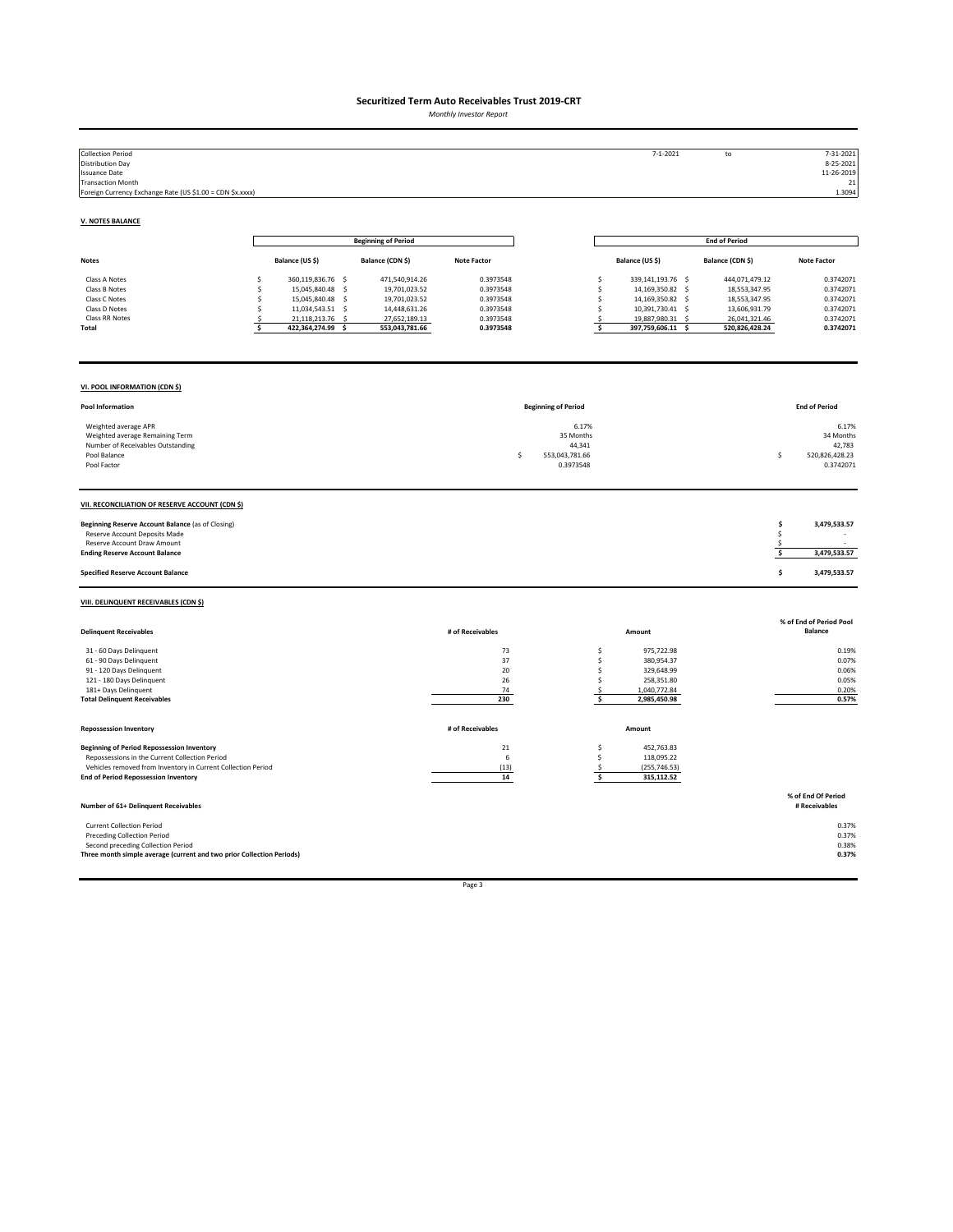*Monthly Investor Report*

| <b>Collection Period</b><br><b>Distribution Day</b><br><b>Issuance Date</b><br><b>Transaction Month</b><br>Foreign Currency Exchange Rate (US \$1.00 = CDN \$x.xxxx)                                               |                                                                                                                                                                |                                                                                                      |                                                                            |                                                                  | $7 - 1 - 2021$                                                                                                                                                   | ${\sf to}$                                                                                           | 7-31-2021<br>8-25-2021<br>11-26-2019<br>21<br>1.3094                       |
|--------------------------------------------------------------------------------------------------------------------------------------------------------------------------------------------------------------------|----------------------------------------------------------------------------------------------------------------------------------------------------------------|------------------------------------------------------------------------------------------------------|----------------------------------------------------------------------------|------------------------------------------------------------------|------------------------------------------------------------------------------------------------------------------------------------------------------------------|------------------------------------------------------------------------------------------------------|----------------------------------------------------------------------------|
| <b>V. NOTES BALANCE</b>                                                                                                                                                                                            |                                                                                                                                                                |                                                                                                      |                                                                            |                                                                  |                                                                                                                                                                  |                                                                                                      |                                                                            |
|                                                                                                                                                                                                                    |                                                                                                                                                                | <b>Beginning of Period</b>                                                                           |                                                                            |                                                                  |                                                                                                                                                                  | <b>End of Period</b>                                                                                 |                                                                            |
| <b>Notes</b>                                                                                                                                                                                                       | Balance (US \$)                                                                                                                                                | Balance (CDN \$)                                                                                     | <b>Note Factor</b>                                                         |                                                                  | Balance (US \$)                                                                                                                                                  | Balance (CDN \$)                                                                                     | <b>Note Factor</b>                                                         |
| Class A Notes<br>Class B Notes<br>Class C Notes<br>Class D Notes<br>Class RR Notes<br>Total                                                                                                                        | 360,119,836.76 \$<br>\$<br>15,045,840.48 \$<br>\$<br>15,045,840.48 \$<br>Ś<br>11,034,543.51 \$<br>Ś<br>21,118,213.76<br>-\$<br>- S<br>422,364,274.99 \$<br>\$. | 471,540,914.26<br>19,701,023.52<br>19,701,023.52<br>14,448,631.26<br>27,652,189.13<br>553,043,781.66 | 0.3973548<br>0.3973548<br>0.3973548<br>0.3973548<br>0.3973548<br>0.3973548 |                                                                  | 339,141,193.76 \$<br>\$<br>14,169,350.82 \$<br>\$<br>\$<br>14,169,350.82 \$<br>\$<br>10,391,730.41 \$<br>19,887,980.31<br>\$.<br>- \$<br>\$<br>397,759,606.11 \$ | 444,071,479.12<br>18,553,347.95<br>18,553,347.95<br>13,606,931.79<br>26,041,321.46<br>520,826,428.24 | 0.3742071<br>0.3742071<br>0.3742071<br>0.3742071<br>0.3742071<br>0.3742071 |
| VI. POOL INFORMATION (CDN \$)                                                                                                                                                                                      |                                                                                                                                                                |                                                                                                      |                                                                            |                                                                  |                                                                                                                                                                  |                                                                                                      |                                                                            |
| Pool Information                                                                                                                                                                                                   |                                                                                                                                                                |                                                                                                      |                                                                            | <b>Beginning of Period</b>                                       |                                                                                                                                                                  |                                                                                                      | <b>End of Period</b>                                                       |
| Weighted average APR<br>Weighted average Remaining Term<br>Number of Receivables Outstanding<br>Pool Balance<br>Pool Factor                                                                                        |                                                                                                                                                                |                                                                                                      |                                                                            | 6.17%<br>35 Months<br>44,341<br>553,043,781.66<br>Ś<br>0.3973548 |                                                                                                                                                                  |                                                                                                      | 6.17%<br>34 Months<br>42,783<br>520.826.428.23<br>s.<br>0.3742071          |
| VII. RECONCILIATION OF RESERVE ACCOUNT (CDN \$)                                                                                                                                                                    |                                                                                                                                                                |                                                                                                      |                                                                            |                                                                  |                                                                                                                                                                  |                                                                                                      |                                                                            |
| Beginning Reserve Account Balance (as of Closing)<br>Reserve Account Deposits Made<br>Reserve Account Draw Amount<br><b>Ending Reserve Account Balance</b>                                                         |                                                                                                                                                                |                                                                                                      |                                                                            |                                                                  |                                                                                                                                                                  |                                                                                                      | \$<br>3,479,533.57<br>\$<br>\$<br>\$<br>3,479,533.57                       |
| <b>Specified Reserve Account Balance</b>                                                                                                                                                                           |                                                                                                                                                                |                                                                                                      |                                                                            |                                                                  |                                                                                                                                                                  |                                                                                                      | \$<br>3,479,533.57                                                         |
| VIII. DELINQUENT RECEIVABLES (CDN \$)                                                                                                                                                                              |                                                                                                                                                                |                                                                                                      |                                                                            |                                                                  |                                                                                                                                                                  |                                                                                                      |                                                                            |
| <b>Delinquent Receivables</b>                                                                                                                                                                                      |                                                                                                                                                                |                                                                                                      | # of Receivables                                                           |                                                                  | Amount                                                                                                                                                           |                                                                                                      | % of End of Period Pool<br><b>Balance</b>                                  |
| 31 - 60 Days Delinquent<br>61 - 90 Days Delinquent<br>91 - 120 Days Delinquent<br>121 - 180 Days Delinquent<br>181+ Days Delinquent<br><b>Total Delinquent Receivables</b>                                         |                                                                                                                                                                |                                                                                                      | 73<br>37<br>20<br>26<br>74<br>230                                          |                                                                  | \$<br>975,722.98<br>\$<br>380,954.37<br>\$<br>329,648.99<br>\$<br>258,351.80<br>1,040,772.84<br>-\$<br>\$<br>2,985,450.98                                        |                                                                                                      | 0.19%<br>0.07%<br>0.06%<br>0.05%<br>0.20%<br>0.57%                         |
| <b>Repossession Inventory</b>                                                                                                                                                                                      |                                                                                                                                                                |                                                                                                      | # of Receivables                                                           |                                                                  | Amount                                                                                                                                                           |                                                                                                      |                                                                            |
| <b>Beginning of Period Repossession Inventory</b><br>Repossessions in the Current Collection Period<br>Vehicles removed from Inventory in Current Collection Period<br><b>End of Period Repossession Inventory</b> |                                                                                                                                                                |                                                                                                      | $\bf 21$<br>6<br>(13)<br>14                                                |                                                                  | 452,763.83<br>\$<br>\$<br>118,095.22<br>(255, 746.53)<br>.s<br>\$<br>315,112.52                                                                                  |                                                                                                      |                                                                            |
| Number of 61+ Delinquent Receivables                                                                                                                                                                               |                                                                                                                                                                |                                                                                                      |                                                                            |                                                                  |                                                                                                                                                                  |                                                                                                      | % of End Of Period<br># Receivables                                        |
| <b>Current Collection Period</b><br><b>Preceding Collection Period</b><br>Second preceding Collection Period<br>Three month simple average (current and two prior Collection Periods)                              |                                                                                                                                                                |                                                                                                      |                                                                            |                                                                  |                                                                                                                                                                  |                                                                                                      | 0.37%<br>0.37%<br>0.38%<br>0.37%                                           |